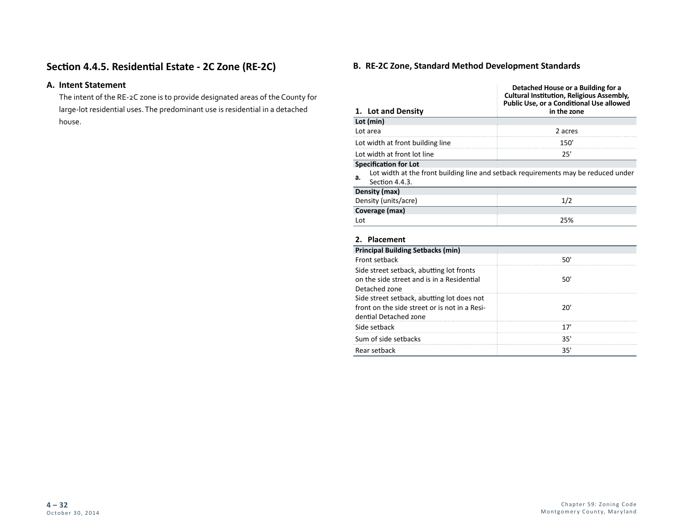# **Section 4.4.5. Residential Estate - 2C Zone (RE-2C)**

## **A. Intent Statement**

The intent of the RE-2C zone is to provide designated areas of the County for large-lot residential uses. The predominant use is residential in a detached house.

## **B. RE-2C Zone, Standard Method Development Standards**

|                                                                                        | Detached House or a Building for a<br><b>Cultural Institution, Religious Assembly,</b><br>Public Use, or a Conditional Use allowed |  |  |
|----------------------------------------------------------------------------------------|------------------------------------------------------------------------------------------------------------------------------------|--|--|
| 1. Lot and Density                                                                     | in the zone                                                                                                                        |  |  |
| Lot (min)                                                                              |                                                                                                                                    |  |  |
| Lot area                                                                               | 2 acres                                                                                                                            |  |  |
| Lot width at front building line                                                       | 150'                                                                                                                               |  |  |
| Lot width at front lot line                                                            | 25'                                                                                                                                |  |  |
| <b>Specification for Lot</b><br>а.<br>Section 4.4.3.                                   | Lot width at the front building line and setback requirements may be reduced under                                                 |  |  |
| Density (max)                                                                          |                                                                                                                                    |  |  |
| Density (units/acre)                                                                   | 1/2                                                                                                                                |  |  |
| Coverage (max)                                                                         |                                                                                                                                    |  |  |
| Lot                                                                                    | 25%                                                                                                                                |  |  |
| 2. Placement                                                                           |                                                                                                                                    |  |  |
| <b>Principal Building Setbacks (min)</b>                                               |                                                                                                                                    |  |  |
| Front setback                                                                          | 50'                                                                                                                                |  |  |
| Side street setback, abutting lot fronts<br>on the side street and is in a Residential | 50'                                                                                                                                |  |  |
| Detached zone                                                                          |                                                                                                                                    |  |  |
| Side street setback, abutting lot does not                                             |                                                                                                                                    |  |  |
| front on the side street or is not in a Resi-<br>dential Detached zone                 | 20'                                                                                                                                |  |  |
| Side setback                                                                           | 17'                                                                                                                                |  |  |
| Sum of side setbacks                                                                   | 35'                                                                                                                                |  |  |
| Rear setback                                                                           | 35'                                                                                                                                |  |  |